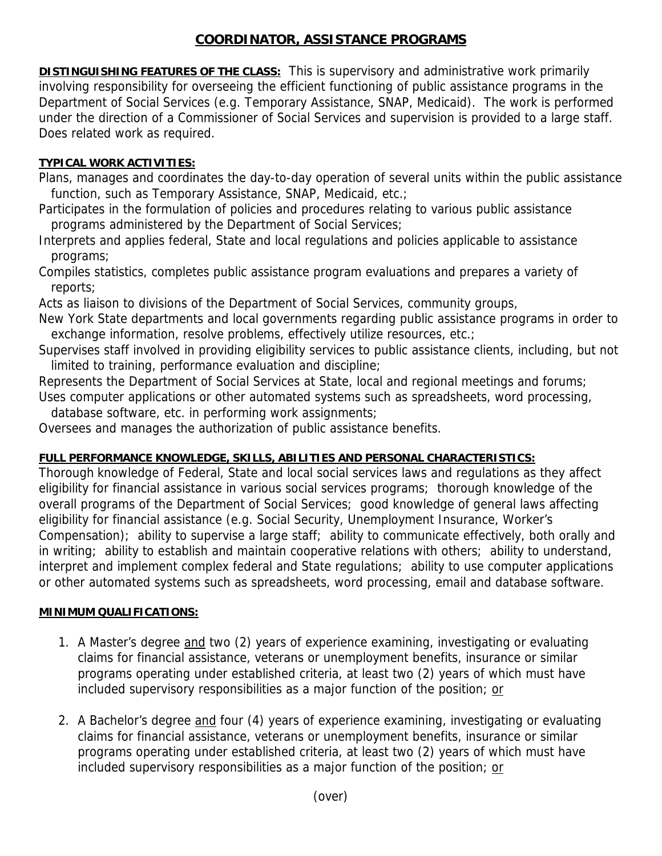## **COORDINATOR, ASSISTANCE PROGRAMS**

**DISTINGUISHING FEATURES OF THE CLASS:** This is supervisory and administrative work primarily involving responsibility for overseeing the efficient functioning of public assistance programs in the Department of Social Services (e.g. Temporary Assistance, SNAP, Medicaid). The work is performed under the direction of a Commissioner of Social Services and supervision is provided to a large staff. Does related work as required.

## **TYPICAL WORK ACTIVITIES:**

Plans, manages and coordinates the day-to-day operation of several units within the public assistance function, such as Temporary Assistance, SNAP, Medicaid, etc.;

Participates in the formulation of policies and procedures relating to various public assistance programs administered by the Department of Social Services;

Interprets and applies federal, State and local regulations and policies applicable to assistance programs;

Compiles statistics, completes public assistance program evaluations and prepares a variety of reports;

Acts as liaison to divisions of the Department of Social Services, community groups,

New York State departments and local governments regarding public assistance programs in order to exchange information, resolve problems, effectively utilize resources, etc.;

Supervises staff involved in providing eligibility services to public assistance clients, including, but not limited to training, performance evaluation and discipline;

Represents the Department of Social Services at State, local and regional meetings and forums;

Uses computer applications or other automated systems such as spreadsheets, word processing,

database software, etc. in performing work assignments;

Oversees and manages the authorization of public assistance benefits.

## **FULL PERFORMANCE KNOWLEDGE, SKILLS, ABILITIES AND PERSONAL CHARACTERISTICS:**

Thorough knowledge of Federal, State and local social services laws and regulations as they affect eligibility for financial assistance in various social services programs; thorough knowledge of the overall programs of the Department of Social Services; good knowledge of general laws affecting eligibility for financial assistance (e.g. Social Security, Unemployment Insurance, Worker's Compensation); ability to supervise a large staff; ability to communicate effectively, both orally and in writing; ability to establish and maintain cooperative relations with others; ability to understand, interpret and implement complex federal and State regulations; ability to use computer applications or other automated systems such as spreadsheets, word processing, email and database software.

## **MINIMUM QUALIFICATIONS:**

- 1. A Master's degree and two (2) years of experience examining, investigating or evaluating claims for financial assistance, veterans or unemployment benefits, insurance or similar programs operating under established criteria, at least two (2) years of which must have included supervisory responsibilities as a major function of the position; or
- 2. A Bachelor's degree and four (4) years of experience examining, investigating or evaluating claims for financial assistance, veterans or unemployment benefits, insurance or similar programs operating under established criteria, at least two (2) years of which must have included supervisory responsibilities as a major function of the position; or